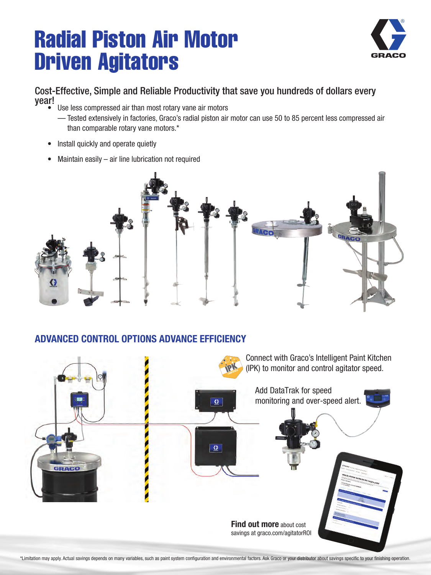# Radial Piston Air Motor Driven Agitators



#### Cost-Effective, Simple and Reliable Productivity that save you hundreds of dollars every year!

- Use less compressed air than most rotary vane air motors
	- Tested extensively in factories, Graco's radial piston air motor can use 50 to 85 percent less compressed air than comparable rotary vane motors.\*
- Install quickly and operate quietly
- Maintain easily  $-$  air line lubrication not required



#### ADVANCED CONTROL OPTIONS ADVANCE EFFICIENCY